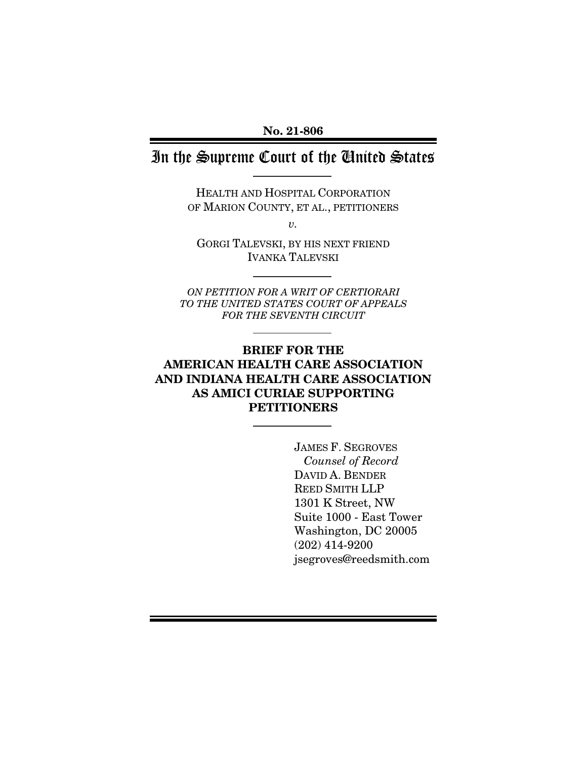**No. 21-806** 

# In the Supreme Court of the United States

HEALTH AND HOSPITAL CORPORATION OF MARION COUNTY, ET AL., PETITIONERS

 $\upsilon$ .

GORGI TALEVSKI, BY HIS NEXT FRIEND IVANKA TALEVSKI

ON PETITION FOR A WRIT OF CERTIORARI TO THE UNITED STATES COURT OF APPEALS FOR THE SEVENTH CIRCUIT

## **BRIEF FOR THE AMERICAN HEALTH CARE ASSOCIATION AND INDIANA HEALTH CARE ASSOCIATION AS AMICI CURIAE SUPPORTING PETITIONERS**

JAMES F. SEGROVES Counsel of Record DAVID A. BENDER REED SMITH LLP 1301 K Street, NW Suite 1000 - East Tower Washington, DC 20005 (202) 414-9200 jsegroves@reedsmith.com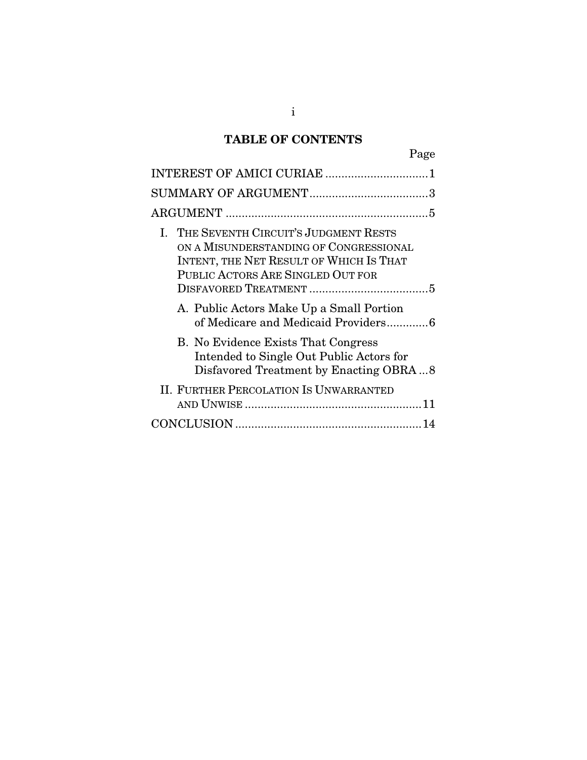## **TABLE OF CONTENTS**

| Page                                                                                                                                                                                                                                                 |
|------------------------------------------------------------------------------------------------------------------------------------------------------------------------------------------------------------------------------------------------------|
| INTEREST OF AMICI CURIAE 1                                                                                                                                                                                                                           |
|                                                                                                                                                                                                                                                      |
|                                                                                                                                                                                                                                                      |
| I. THE SEVENTH CIRCUIT'S JUDGMENT RESTS<br>ON A MISUNDERSTANDING OF CONGRESSIONAL<br>INTENT, THE NET RESULT OF WHICH IS THAT<br>PUBLIC ACTORS ARE SINGLED OUT FOR<br>A. Public Actors Make Up a Small Portion<br>of Medicare and Medicaid Providers6 |
| <b>B.</b> No Evidence Exists That Congress<br>Intended to Single Out Public Actors for<br>Disfavored Treatment by Enacting OBRA8                                                                                                                     |
| <b>II. FURTHER PERCOLATION IS UNWARRANTED</b>                                                                                                                                                                                                        |
|                                                                                                                                                                                                                                                      |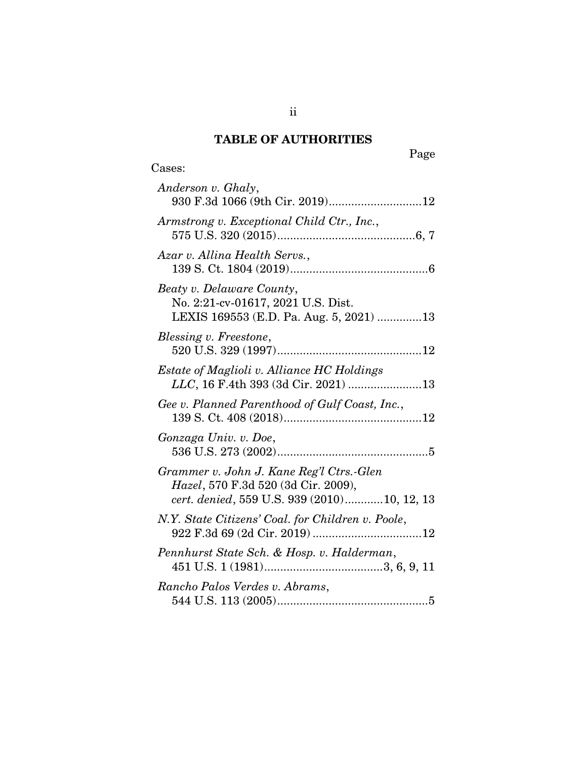## **TABLE OF AUTHORITIES**

Cases:

Page

| Anderson v. Ghaly,<br>930 F.3d 1066 (9th Cir. 2019)12                                                                          |
|--------------------------------------------------------------------------------------------------------------------------------|
| Armstrong v. Exceptional Child Ctr., Inc.,                                                                                     |
| Azar v. Allina Health Servs.,                                                                                                  |
| Beaty v. Delaware County,<br>No. 2:21-cv-01617, 2021 U.S. Dist.<br>LEXIS 169553 (E.D. Pa. Aug. 5, 2021) 13                     |
| Blessing v. Freestone,                                                                                                         |
| <i>Estate of Maglioli v. Alliance HC Holdings</i><br>LLC, 16 F.4th 393 (3d Cir. 2021) 13                                       |
| Gee v. Planned Parenthood of Gulf Coast, Inc.,                                                                                 |
| Gonzaga Univ. v. Doe,                                                                                                          |
| Grammer v. John J. Kane Reg'l Ctrs.-Glen<br>Hazel, 570 F.3d 520 (3d Cir. 2009),<br>cert. denied, 559 U.S. 939 (2010)10, 12, 13 |
| N.Y. State Citizens' Coal. for Children v. Poole,                                                                              |
| Pennhurst State Sch. & Hosp. v. Halderman,                                                                                     |
| Rancho Palos Verdes v. Abrams,                                                                                                 |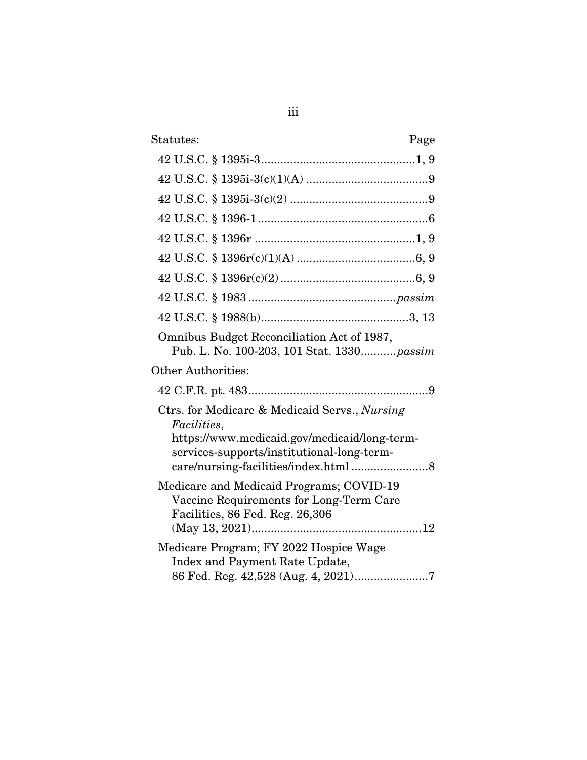| Statutes:<br>Page                                                                                                                                                 |
|-------------------------------------------------------------------------------------------------------------------------------------------------------------------|
|                                                                                                                                                                   |
|                                                                                                                                                                   |
|                                                                                                                                                                   |
|                                                                                                                                                                   |
|                                                                                                                                                                   |
|                                                                                                                                                                   |
|                                                                                                                                                                   |
|                                                                                                                                                                   |
|                                                                                                                                                                   |
| Omnibus Budget Reconciliation Act of 1987,<br>Pub. L. No. 100-203, 101 Stat. 1330 passim                                                                          |
| <b>Other Authorities:</b>                                                                                                                                         |
|                                                                                                                                                                   |
| Ctrs. for Medicare & Medicaid Servs., Nursing<br><i>Facilities,</i><br>https://www.medicaid.gov/medicaid/long-term-<br>services-supports/institutional-long-term- |
|                                                                                                                                                                   |
| Medicare and Medicaid Programs; COVID-19<br>Vaccine Requirements for Long-Term Care<br>Facilities, 86 Fed. Reg. 26,306                                            |
| Medicare Program; FY 2022 Hospice Wage<br>Index and Payment Rate Update,<br>86 Fed. Reg. 42,528 (Aug. 4, 2021)7                                                   |

iii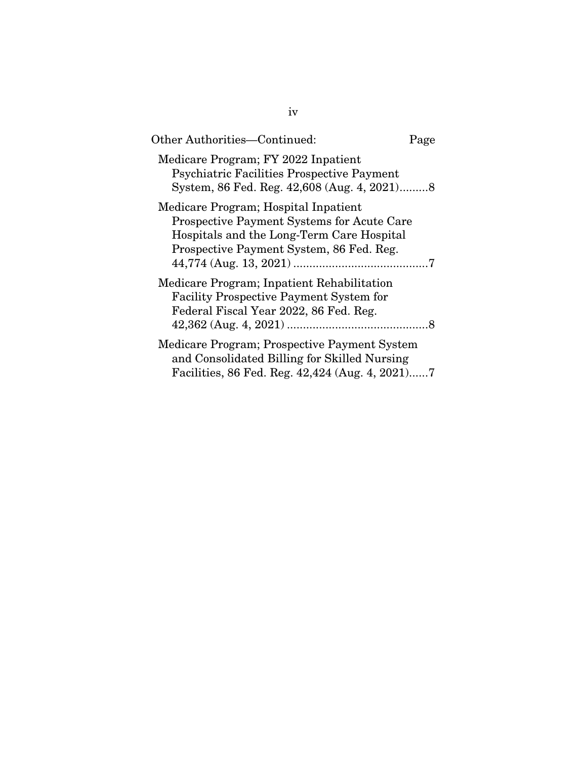| Other Authorities—Continued:                                                                                                                                                       | Page |
|------------------------------------------------------------------------------------------------------------------------------------------------------------------------------------|------|
| Medicare Program; FY 2022 Inpatient<br><b>Psychiatric Facilities Prospective Payment</b>                                                                                           |      |
| Medicare Program; Hospital Inpatient<br><b>Prospective Payment Systems for Acute Care</b><br>Hospitals and the Long-Term Care Hospital<br>Prospective Payment System, 86 Fed. Reg. |      |
| Medicare Program; Inpatient Rehabilitation<br><b>Facility Prospective Payment System for</b><br>Federal Fiscal Year 2022, 86 Fed. Reg.                                             |      |
| Medicare Program; Prospective Payment System<br>and Consolidated Billing for Skilled Nursing<br>Facilities, 86 Fed. Reg. 42,424 (Aug. 4, 2021)7                                    |      |

iv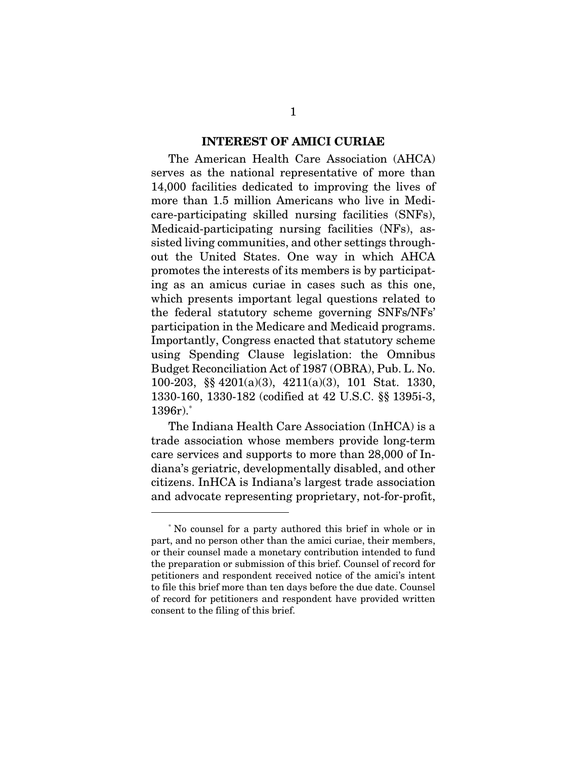#### **INTEREST OF AMICI CURIAE**

The American Health Care Association (AHCA) serves as the national representative of more than 14,000 facilities dedicated to improving the lives of more than 1.5 million Americans who live in Medicare-participating skilled nursing facilities (SNFs), Medicaid-participating nursing facilities (NFs), assisted living communities, and other settings throughout the United States. One way in which AHCA promotes the interests of its members is by participating as an amicus curiae in cases such as this one, which presents important legal questions related to the federal statutory scheme governing SNFs/NFs' participation in the Medicare and Medicaid programs. Importantly, Congress enacted that statutory scheme using Spending Clause legislation: the Omnibus Budget Reconciliation Act of 1987 (OBRA), Pub. L. No. 100-203, §§ 4201(a)(3), 4211(a)(3), 101 Stat. 1330, 1330-160, 1330-182 (codified at 42 U.S.C. §§ 1395i-3, 1396r).\*

The Indiana Health Care Association (InHCA) is a trade association whose members provide long-term care services and supports to more than 28,000 of Indiana's geriatric, developmentally disabled, and other citizens. InHCA is Indiana's largest trade association and advocate representing proprietary, not-for-profit,

<sup>\*</sup> No counsel for a party authored this brief in whole or in part, and no person other than the amici curiae, their members, or their counsel made a monetary contribution intended to fund the preparation or submission of this brief. Counsel of record for petitioners and respondent received notice of the amici's intent to file this brief more than ten days before the due date. Counsel of record for petitioners and respondent have provided written consent to the filing of this brief.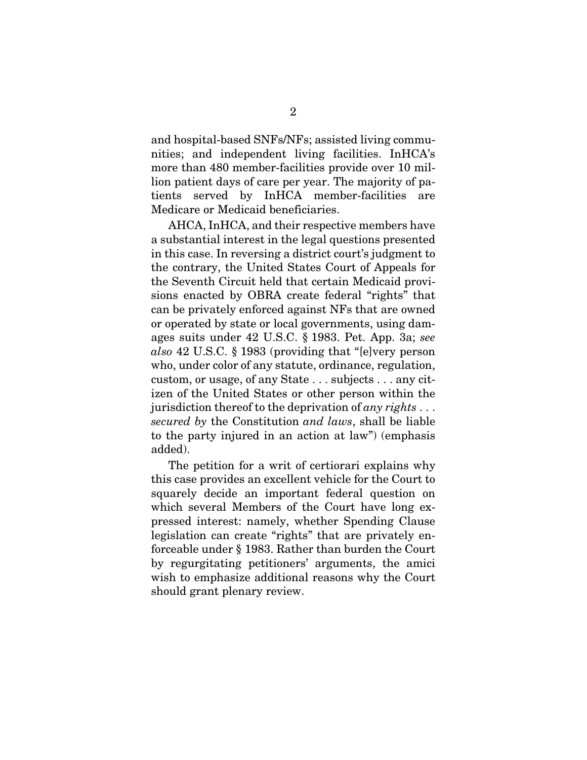and hospital-based SNFs/NFs; assisted living communities; and independent living facilities. InHCA's more than 480 member-facilities provide over 10 million patient days of care per year. The majority of patients served by InHCA member-facilities are Medicare or Medicaid beneficiaries.

AHCA, InHCA, and their respective members have a substantial interest in the legal questions presented in this case. In reversing a district court's judgment to the contrary, the United States Court of Appeals for the Seventh Circuit held that certain Medicaid provisions enacted by OBRA create federal "rights" that can be privately enforced against NFs that are owned or operated by state or local governments, using damages suits under 42 U.S.C. § 1983. Pet. App. 3a; see also 42 U.S.C. § 1983 (providing that "[e]very person who, under color of any statute, ordinance, regulation, custom, or usage, of any State . . . subjects . . . any citizen of the United States or other person within the jurisdiction thereof to the deprivation of any rights  $\dots$ secured by the Constitution and laws, shall be liable to the party injured in an action at law") (emphasis added).

The petition for a writ of certiorari explains why this case provides an excellent vehicle for the Court to squarely decide an important federal question on which several Members of the Court have long expressed interest: namely, whether Spending Clause legislation can create "rights" that are privately enforceable under § 1983. Rather than burden the Court by regurgitating petitioners' arguments, the amici wish to emphasize additional reasons why the Court should grant plenary review.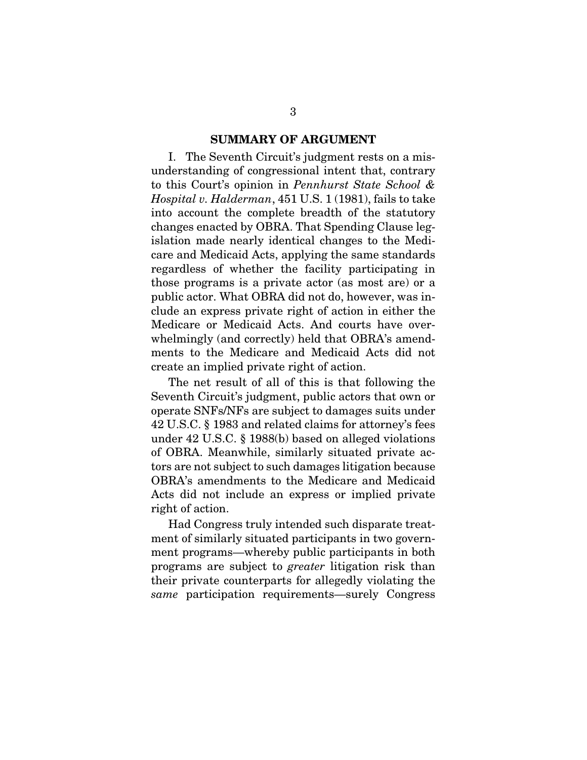#### **SUMMARY OF ARGUMENT**

I. The Seventh Circuit's judgment rests on a misunderstanding of congressional intent that, contrary to this Court's opinion in Pennhurst State School & Hospital v. Halderman, 451 U.S. 1 (1981), fails to take into account the complete breadth of the statutory changes enacted by OBRA. That Spending Clause legislation made nearly identical changes to the Medicare and Medicaid Acts, applying the same standards regardless of whether the facility participating in those programs is a private actor (as most are) or a public actor. What OBRA did not do, however, was include an express private right of action in either the Medicare or Medicaid Acts. And courts have overwhelmingly (and correctly) held that OBRA's amendments to the Medicare and Medicaid Acts did not create an implied private right of action.

The net result of all of this is that following the Seventh Circuit's judgment, public actors that own or operate SNFs/NFs are subject to damages suits under 42 U.S.C. § 1983 and related claims for attorney's fees under 42 U.S.C. § 1988(b) based on alleged violations of OBRA. Meanwhile, similarly situated private actors are not subject to such damages litigation because OBRA's amendments to the Medicare and Medicaid Acts did not include an express or implied private right of action.

Had Congress truly intended such disparate treatment of similarly situated participants in two government programs—whereby public participants in both programs are subject to greater litigation risk than their private counterparts for allegedly violating the same participation requirements—surely Congress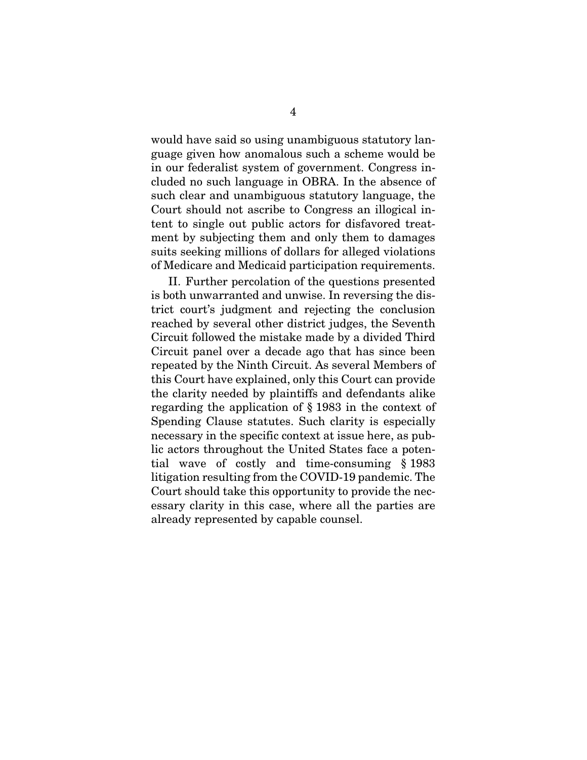would have said so using unambiguous statutory language given how anomalous such a scheme would be in our federalist system of government. Congress included no such language in OBRA. In the absence of such clear and unambiguous statutory language, the Court should not ascribe to Congress an illogical intent to single out public actors for disfavored treatment by subjecting them and only them to damages suits seeking millions of dollars for alleged violations of Medicare and Medicaid participation requirements.

II. Further percolation of the questions presented is both unwarranted and unwise. In reversing the district court's judgment and rejecting the conclusion reached by several other district judges, the Seventh Circuit followed the mistake made by a divided Third Circuit panel over a decade ago that has since been repeated by the Ninth Circuit. As several Members of this Court have explained, only this Court can provide the clarity needed by plaintiffs and defendants alike regarding the application of § 1983 in the context of Spending Clause statutes. Such clarity is especially necessary in the specific context at issue here, as public actors throughout the United States face a potential wave of costly and time-consuming § 1983 litigation resulting from the COVID-19 pandemic. The Court should take this opportunity to provide the necessary clarity in this case, where all the parties are already represented by capable counsel.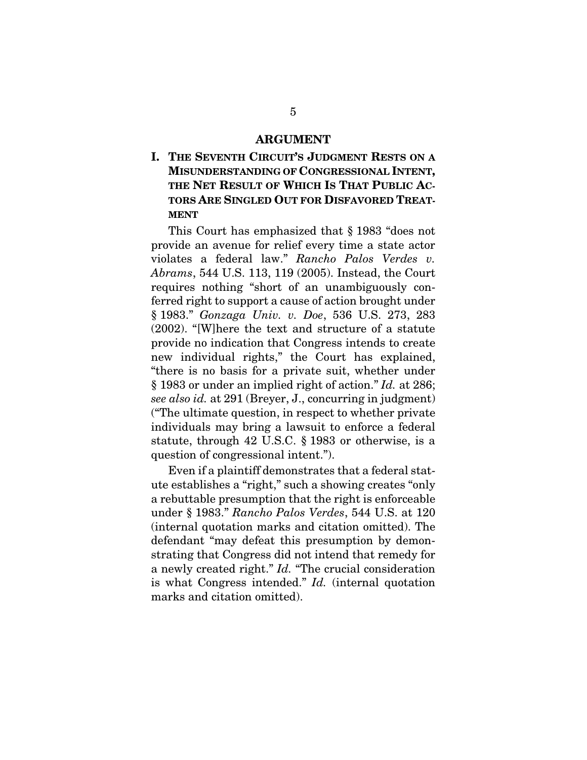#### **ARGUMENT**

**I. THE SEVENTH CIRCUIT'S JUDGMENT RESTS ON A MISUNDERSTANDING OF CONGRESSIONAL INTENT, THE NET RESULT OF WHICH IS THAT PUBLIC AC-TORS ARE SINGLED OUT FOR DISFAVORED TREAT-MENT**

This Court has emphasized that § 1983 "does not provide an avenue for relief every time a state actor violates a federal law." Rancho Palos Verdes v. Abrams, 544 U.S. 113, 119 (2005). Instead, the Court requires nothing "short of an unambiguously conferred right to support a cause of action brought under § 1983." Gonzaga Univ. v. Doe, 536 U.S. 273, 283 (2002). "[W]here the text and structure of a statute provide no indication that Congress intends to create new individual rights," the Court has explained, "there is no basis for a private suit, whether under § 1983 or under an implied right of action." Id. at 286; see also id. at 291 (Breyer, J., concurring in judgment) ("The ultimate question, in respect to whether private individuals may bring a lawsuit to enforce a federal statute, through 42 U.S.C. § 1983 or otherwise, is a question of congressional intent.").

Even if a plaintiff demonstrates that a federal statute establishes a "right," such a showing creates "only a rebuttable presumption that the right is enforceable under § 1983." Rancho Palos Verdes, 544 U.S. at 120 (internal quotation marks and citation omitted). The defendant "may defeat this presumption by demonstrating that Congress did not intend that remedy for a newly created right." Id. "The crucial consideration is what Congress intended." Id. (internal quotation marks and citation omitted).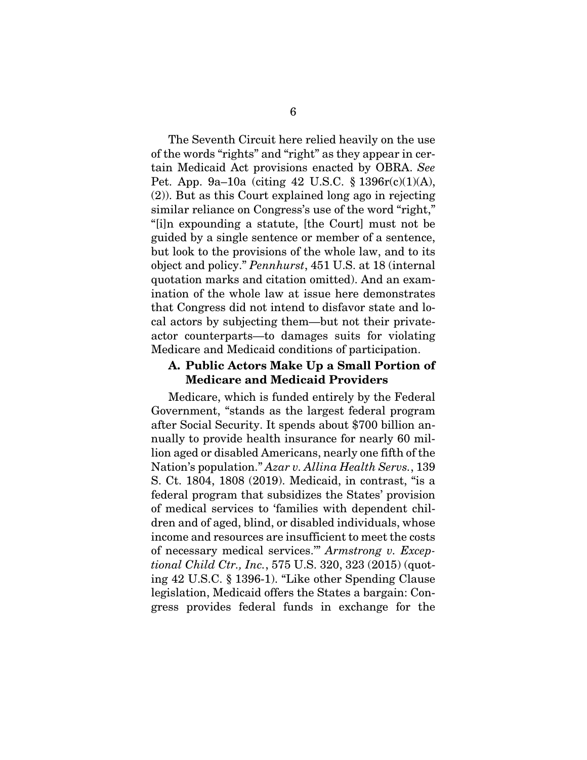The Seventh Circuit here relied heavily on the use of the words "rights" and "right" as they appear in certain Medicaid Act provisions enacted by OBRA. See Pet. App. 9a–10a (citing 42 U.S.C. § 1396r(c)(1)(A), (2)). But as this Court explained long ago in rejecting similar reliance on Congress's use of the word "right," "[i]n expounding a statute, [the Court] must not be guided by a single sentence or member of a sentence, but look to the provisions of the whole law, and to its object and policy." Pennhurst, 451 U.S. at 18 (internal quotation marks and citation omitted). And an examination of the whole law at issue here demonstrates that Congress did not intend to disfavor state and local actors by subjecting them—but not their privateactor counterparts—to damages suits for violating Medicare and Medicaid conditions of participation.

#### **A. Public Actors Make Up a Small Portion of Medicare and Medicaid Providers**

Medicare, which is funded entirely by the Federal Government, "stands as the largest federal program after Social Security. It spends about \$700 billion annually to provide health insurance for nearly 60 million aged or disabled Americans, nearly one fifth of the Nation's population." Azar v. Allina Health Servs., 139 S. Ct. 1804, 1808 (2019). Medicaid, in contrast, "is a federal program that subsidizes the States' provision of medical services to 'families with dependent children and of aged, blind, or disabled individuals, whose income and resources are insufficient to meet the costs of necessary medical services.'" Armstrong v. Exceptional Child Ctr., Inc., 575 U.S. 320, 323 (2015) (quoting 42 U.S.C. § 1396-1). "Like other Spending Clause legislation, Medicaid offers the States a bargain: Congress provides federal funds in exchange for the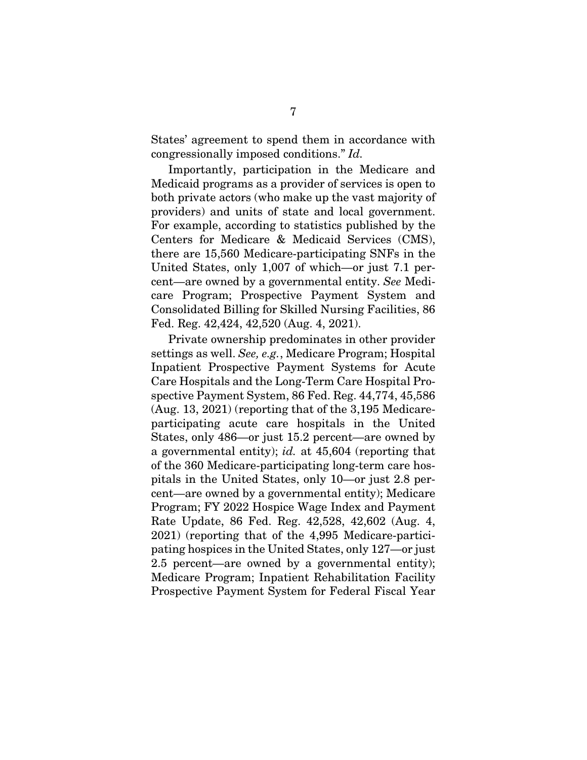States' agreement to spend them in accordance with congressionally imposed conditions." Id.

Importantly, participation in the Medicare and Medicaid programs as a provider of services is open to both private actors (who make up the vast majority of providers) and units of state and local government. For example, according to statistics published by the Centers for Medicare & Medicaid Services (CMS), there are 15,560 Medicare-participating SNFs in the United States, only 1,007 of which—or just 7.1 percent—are owned by a governmental entity. See Medicare Program; Prospective Payment System and Consolidated Billing for Skilled Nursing Facilities, 86 Fed. Reg. 42,424, 42,520 (Aug. 4, 2021).

Private ownership predominates in other provider settings as well. See, e.g., Medicare Program; Hospital Inpatient Prospective Payment Systems for Acute Care Hospitals and the Long-Term Care Hospital Prospective Payment System, 86 Fed. Reg. 44,774, 45,586 (Aug. 13, 2021) (reporting that of the 3,195 Medicareparticipating acute care hospitals in the United States, only 486—or just 15.2 percent—are owned by a governmental entity); id. at 45,604 (reporting that of the 360 Medicare-participating long-term care hospitals in the United States, only 10—or just 2.8 percent—are owned by a governmental entity); Medicare Program; FY 2022 Hospice Wage Index and Payment Rate Update, 86 Fed. Reg. 42,528, 42,602 (Aug. 4, 2021) (reporting that of the 4,995 Medicare-participating hospices in the United States, only 127—or just 2.5 percent—are owned by a governmental entity); Medicare Program; Inpatient Rehabilitation Facility Prospective Payment System for Federal Fiscal Year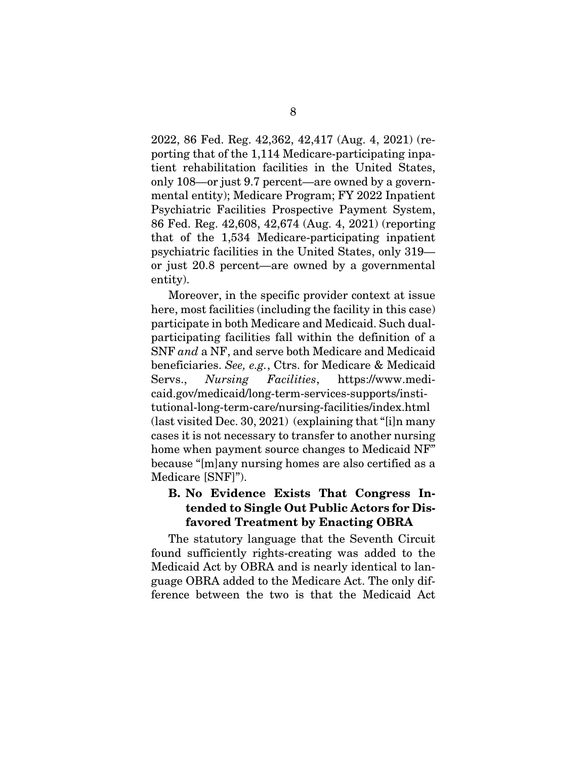2022, 86 Fed. Reg. 42,362, 42,417 (Aug. 4, 2021) (reporting that of the 1,114 Medicare-participating inpatient rehabilitation facilities in the United States, only 108—or just 9.7 percent—are owned by a governmental entity); Medicare Program; FY 2022 Inpatient Psychiatric Facilities Prospective Payment System, 86 Fed. Reg. 42,608, 42,674 (Aug. 4, 2021) (reporting that of the 1,534 Medicare-participating inpatient psychiatric facilities in the United States, only 319 or just 20.8 percent—are owned by a governmental entity).

Moreover, in the specific provider context at issue here, most facilities (including the facility in this case) participate in both Medicare and Medicaid. Such dualparticipating facilities fall within the definition of a SNF and a NF, and serve both Medicare and Medicaid beneficiaries. See, e.g., Ctrs. for Medicare & Medicaid Servs., Nursing Facilities, https://www.medicaid.gov/medicaid/long-term-services-supports/institutional-long-term-care/nursing-facilities/index.html (last visited Dec. 30, 2021) (explaining that "[i]n many cases it is not necessary to transfer to another nursing home when payment source changes to Medicaid NF" because "[m]any nursing homes are also certified as a Medicare [SNF]").

## **B. No Evidence Exists That Congress Intended to Single Out Public Actors for Disfavored Treatment by Enacting OBRA**

The statutory language that the Seventh Circuit found sufficiently rights-creating was added to the Medicaid Act by OBRA and is nearly identical to language OBRA added to the Medicare Act. The only difference between the two is that the Medicaid Act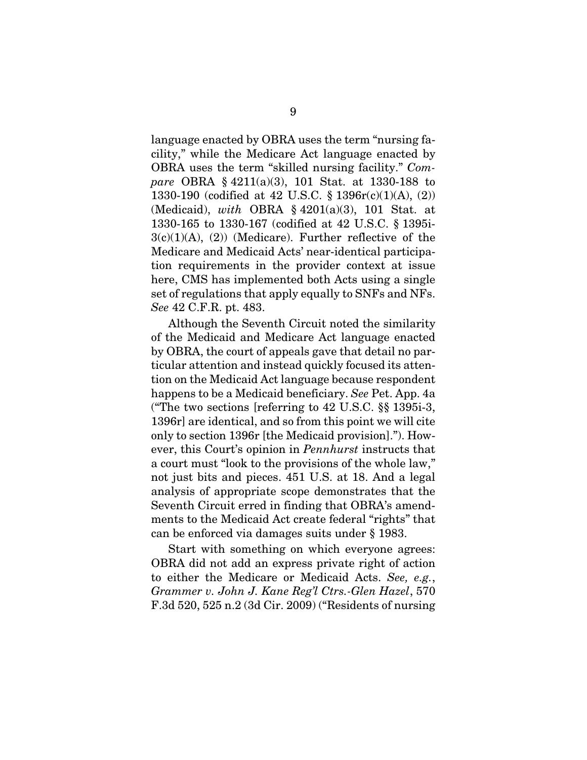language enacted by OBRA uses the term "nursing facility," while the Medicare Act language enacted by OBRA uses the term "skilled nursing facility." Compare OBRA § 4211(a)(3), 101 Stat. at 1330-188 to 1330-190 (codified at 42 U.S.C. § 1396r(c)(1)(A), (2)) (Medicaid), with OBRA  $\S$  4201(a)(3), 101 Stat. at 1330-165 to 1330-167 (codified at 42 U.S.C. § 1395i- $3(c)(1)(A)$ ,  $(2)$ ) (Medicare). Further reflective of the Medicare and Medicaid Acts' near-identical participation requirements in the provider context at issue here, CMS has implemented both Acts using a single set of regulations that apply equally to SNFs and NFs. See 42 C.F.R. pt. 483.

Although the Seventh Circuit noted the similarity of the Medicaid and Medicare Act language enacted by OBRA, the court of appeals gave that detail no particular attention and instead quickly focused its attention on the Medicaid Act language because respondent happens to be a Medicaid beneficiary. See Pet. App. 4a ("The two sections [referring to 42 U.S.C. §§ 1395i-3, 1396r] are identical, and so from this point we will cite only to section 1396r [the Medicaid provision]."). However, this Court's opinion in Pennhurst instructs that a court must "look to the provisions of the whole law," not just bits and pieces. 451 U.S. at 18. And a legal analysis of appropriate scope demonstrates that the Seventh Circuit erred in finding that OBRA's amendments to the Medicaid Act create federal "rights" that can be enforced via damages suits under § 1983.

Start with something on which everyone agrees: OBRA did not add an express private right of action to either the Medicare or Medicaid Acts. See, e.g., Grammer v. John J. Kane Reg'l Ctrs.-Glen Hazel, 570 F.3d 520, 525 n.2 (3d Cir. 2009) ("Residents of nursing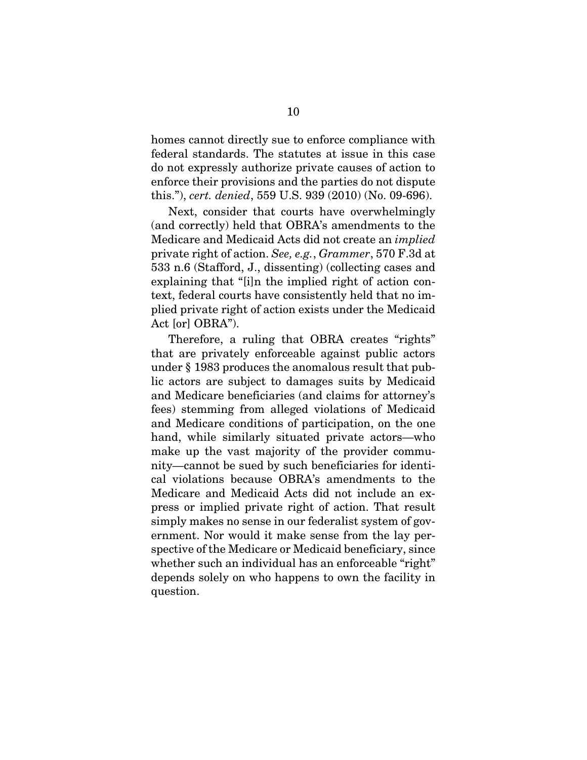homes cannot directly sue to enforce compliance with federal standards. The statutes at issue in this case do not expressly authorize private causes of action to enforce their provisions and the parties do not dispute this."), cert. denied, 559 U.S. 939 (2010) (No. 09-696).

Next, consider that courts have overwhelmingly (and correctly) held that OBRA's amendments to the Medicare and Medicaid Acts did not create an implied private right of action. See, e.g., Grammer, 570 F.3d at 533 n.6 (Stafford, J., dissenting) (collecting cases and explaining that "[i]n the implied right of action context, federal courts have consistently held that no implied private right of action exists under the Medicaid Act [or] OBRA").

Therefore, a ruling that OBRA creates "rights" that are privately enforceable against public actors under § 1983 produces the anomalous result that public actors are subject to damages suits by Medicaid and Medicare beneficiaries (and claims for attorney's fees) stemming from alleged violations of Medicaid and Medicare conditions of participation, on the one hand, while similarly situated private actors—who make up the vast majority of the provider community—cannot be sued by such beneficiaries for identical violations because OBRA's amendments to the Medicare and Medicaid Acts did not include an express or implied private right of action. That result simply makes no sense in our federalist system of government. Nor would it make sense from the lay perspective of the Medicare or Medicaid beneficiary, since whether such an individual has an enforceable "right" depends solely on who happens to own the facility in question.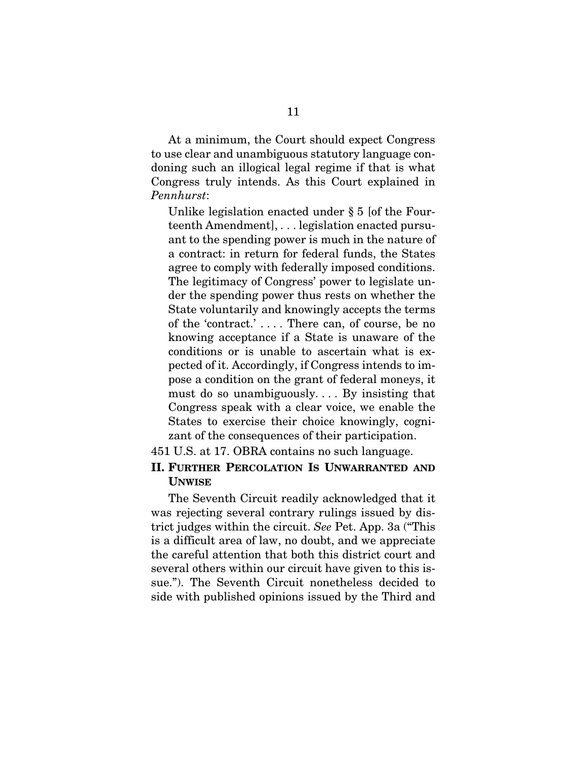At a minimum, the Court should expect Congress to use clear and unambiguous statutory language condoning such an illogical legal regime if that is what Congress truly intends. As this Court explained in Pennhurst:

Unlike legislation enacted under § 5 [of the Fourteenth Amendment], . . . legislation enacted pursuant to the spending power is much in the nature of a contract: in return for federal funds, the States agree to comply with federally imposed conditions. The legitimacy of Congress' power to legislate under the spending power thus rests on whether the State voluntarily and knowingly accepts the terms of the 'contract.' . . . . There can, of course, be no knowing acceptance if a State is unaware of the conditions or is unable to ascertain what is expected of it. Accordingly, if Congress intends to impose a condition on the grant of federal moneys, it must do so unambiguously. . . . By insisting that Congress speak with a clear voice, we enable the States to exercise their choice knowingly, cognizant of the consequences of their participation.

451 U.S. at 17. OBRA contains no such language.

### **II. FURTHER PERCOLATION IS UNWARRANTED AND UNWISE**

The Seventh Circuit readily acknowledged that it was rejecting several contrary rulings issued by district judges within the circuit. See Pet. App. 3a ("This is a difficult area of law, no doubt, and we appreciate the careful attention that both this district court and several others within our circuit have given to this issue."). The Seventh Circuit nonetheless decided to side with published opinions issued by the Third and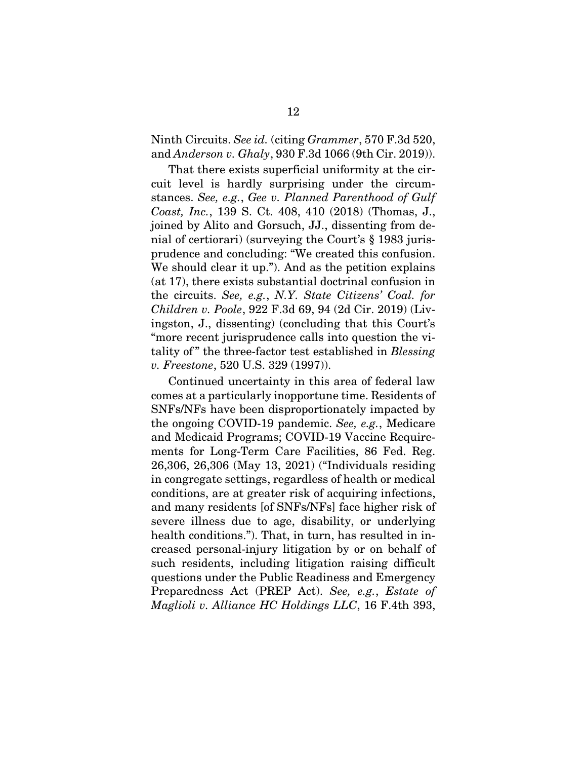Ninth Circuits. See id. (citing Grammer, 570 F.3d 520, and Anderson v. Ghaly, 930 F.3d 1066 (9th Cir. 2019)).

That there exists superficial uniformity at the circuit level is hardly surprising under the circumstances. See, e.g., Gee v. Planned Parenthood of Gulf Coast, Inc., 139 S. Ct. 408, 410 (2018) (Thomas, J., joined by Alito and Gorsuch, JJ., dissenting from denial of certiorari) (surveying the Court's § 1983 jurisprudence and concluding: "We created this confusion. We should clear it up."). And as the petition explains (at 17), there exists substantial doctrinal confusion in the circuits. See, e.g., N.Y. State Citizens' Coal. for Children v. Poole, 922 F.3d 69, 94 (2d Cir. 2019) (Livingston, J., dissenting) (concluding that this Court's "more recent jurisprudence calls into question the vitality of" the three-factor test established in Blessing v. Freestone, 520 U.S. 329 (1997)).

Continued uncertainty in this area of federal law comes at a particularly inopportune time. Residents of SNFs/NFs have been disproportionately impacted by the ongoing COVID-19 pandemic. See, e.g., Medicare and Medicaid Programs; COVID-19 Vaccine Requirements for Long-Term Care Facilities, 86 Fed. Reg. 26,306, 26,306 (May 13, 2021) ("Individuals residing in congregate settings, regardless of health or medical conditions, are at greater risk of acquiring infections, and many residents [of SNFs/NFs] face higher risk of severe illness due to age, disability, or underlying health conditions."). That, in turn, has resulted in increased personal-injury litigation by or on behalf of such residents, including litigation raising difficult questions under the Public Readiness and Emergency Preparedness Act (PREP Act). See, e.g., Estate of Maglioli v. Alliance HC Holdings LLC, 16 F.4th 393,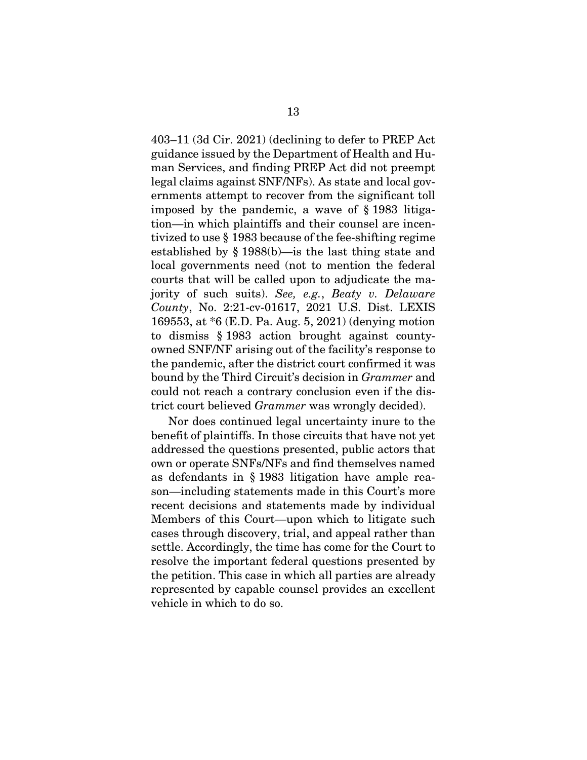403–11 (3d Cir. 2021) (declining to defer to PREP Act guidance issued by the Department of Health and Human Services, and finding PREP Act did not preempt legal claims against SNF/NFs). As state and local governments attempt to recover from the significant toll imposed by the pandemic, a wave of § 1983 litigation—in which plaintiffs and their counsel are incentivized to use § 1983 because of the fee-shifting regime established by § 1988(b)—is the last thing state and local governments need (not to mention the federal courts that will be called upon to adjudicate the majority of such suits). See, e.g., Beaty v. Delaware County, No. 2:21-cv-01617, 2021 U.S. Dist. LEXIS 169553, at \*6 (E.D. Pa. Aug. 5, 2021) (denying motion to dismiss § 1983 action brought against countyowned SNF/NF arising out of the facility's response to the pandemic, after the district court confirmed it was bound by the Third Circuit's decision in Grammer and could not reach a contrary conclusion even if the district court believed Grammer was wrongly decided).

Nor does continued legal uncertainty inure to the benefit of plaintiffs. In those circuits that have not yet addressed the questions presented, public actors that own or operate SNFs/NFs and find themselves named as defendants in § 1983 litigation have ample reason—including statements made in this Court's more recent decisions and statements made by individual Members of this Court—upon which to litigate such cases through discovery, trial, and appeal rather than settle. Accordingly, the time has come for the Court to resolve the important federal questions presented by the petition. This case in which all parties are already represented by capable counsel provides an excellent vehicle in which to do so.